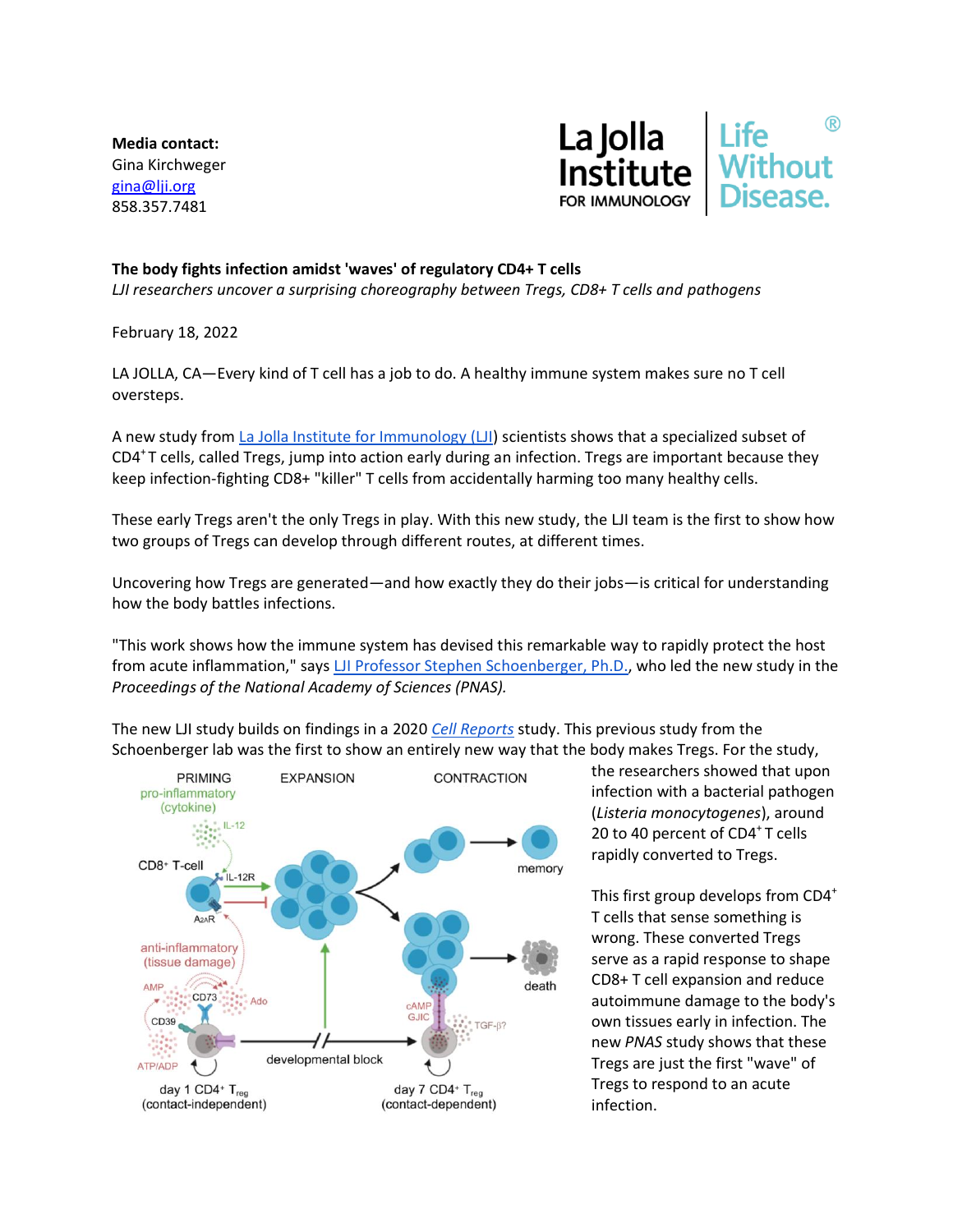**Media contact:** Gina Kirchweger [gina@lji.org](mailto:gina@lji.org) 858.357.7481



## **The body fights infection amidst 'waves' of regulatory CD4+ T cells**

*LJI researchers uncover a surprising choreography between Tregs, CD8+ T cells and pathogens*

February 18, 2022

LA JOLLA, CA—Every kind of T cell has a job to do. A healthy immune system makes sure no T cell oversteps.

A new study fro[m La Jolla Institute for Immunology \(LJI\)](https://www.lji.org/) scientists shows that a specialized subset of CD4<sup>+</sup>T cells, called Tregs, jump into action early during an infection. Tregs are important because they keep infection-fighting CD8+ "killer" T cells from accidentally harming too many healthy cells.

These early Tregs aren't the only Tregs in play. With this new study, the LJI team is the first to show how two groups of Tregs can develop through different routes, at different times.

Uncovering how Tregs are generated—and how exactly they do their jobs—is critical for understanding how the body battles infections.

"This work shows how the immune system has devised this remarkable way to rapidly protect the host from acute inflammation," says [LJI Professor Stephen Schoenberger, Ph.D.,](https://www.lji.org/labs/schoenberger/) who led the new study in the *Proceedings of the National Academy of Sciences (PNAS).*

The new LJI study builds on findings in a 2020 *[Cell Reports](https://www.cell.com/cell-reports/fulltext/S2211-1247(20)30055-3?_returnURL=https%3A%2F%2Flinkinghub.elsevier.com%2Fretrieve%2Fpii%2FS2211124720300553%3Fshowall%3Dtrue)* study. This previous study from the Schoenberger lab was the first to show an entirely new way that the body makes Tregs. For the study,



the researchers showed that upon infection with a bacterial pathogen (*Listeria monocytogenes*), around 20 to 40 percent of  $CD4<sup>+</sup>$  T cells rapidly converted to Tregs.

This first group develops from CD4<sup>+</sup> T cells that sense something is wrong. These converted Tregs serve as a rapid response to shape CD8+ T cell expansion and reduce autoimmune damage to the body's own tissues early in infection. The new *PNAS* study shows that these Tregs are just the first "wave" of Tregs to respond to an acute infection.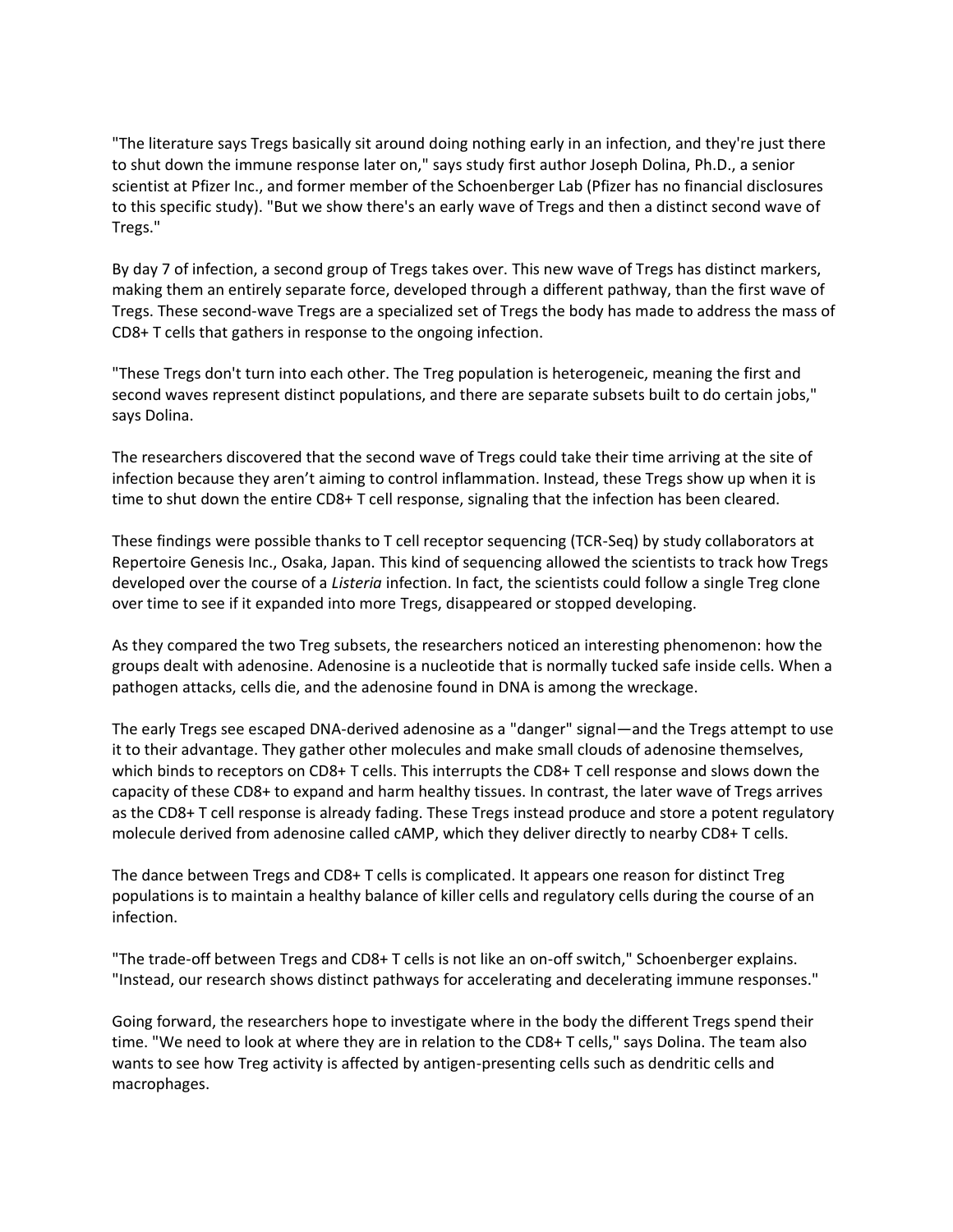"The literature says Tregs basically sit around doing nothing early in an infection, and they're just there to shut down the immune response later on," says study first author Joseph Dolina, Ph.D., a senior scientist at Pfizer Inc., and former member of the Schoenberger Lab (Pfizer has no financial disclosures to this specific study). "But we show there's an early wave of Tregs and then a distinct second wave of Tregs."

By day 7 of infection, a second group of Tregs takes over. This new wave of Tregs has distinct markers, making them an entirely separate force, developed through a different pathway, than the first wave of Tregs. These second-wave Tregs are a specialized set of Tregs the body has made to address the mass of CD8+ T cells that gathers in response to the ongoing infection.

"These Tregs don't turn into each other. The Treg population is heterogeneic, meaning the first and second waves represent distinct populations, and there are separate subsets built to do certain jobs," says Dolina.

The researchers discovered that the second wave of Tregs could take their time arriving at the site of infection because they aren't aiming to control inflammation. Instead, these Tregs show up when it is time to shut down the entire CD8+ T cell response, signaling that the infection has been cleared.

These findings were possible thanks to T cell receptor sequencing (TCR-Seq) by study collaborators at Repertoire Genesis Inc., Osaka, Japan. This kind of sequencing allowed the scientists to track how Tregs developed over the course of a *Listeria* infection. In fact, the scientists could follow a single Treg clone over time to see if it expanded into more Tregs, disappeared or stopped developing.

As they compared the two Treg subsets, the researchers noticed an interesting phenomenon: how the groups dealt with adenosine. Adenosine is a nucleotide that is normally tucked safe inside cells. When a pathogen attacks, cells die, and the adenosine found in DNA is among the wreckage.

The early Tregs see escaped DNA-derived adenosine as a "danger" signal—and the Tregs attempt to use it to their advantage. They gather other molecules and make small clouds of adenosine themselves, which binds to receptors on CD8+ T cells. This interrupts the CD8+ T cell response and slows down the capacity of these CD8+ to expand and harm healthy tissues. In contrast, the later wave of Tregs arrives as the CD8+ T cell response is already fading. These Tregs instead produce and store a potent regulatory molecule derived from adenosine called cAMP, which they deliver directly to nearby CD8+ T cells.

The dance between Tregs and CD8+ T cells is complicated. It appears one reason for distinct Treg populations is to maintain a healthy balance of killer cells and regulatory cells during the course of an infection.

"The trade-off between Tregs and CD8+ T cells is not like an on-off switch," Schoenberger explains. "Instead, our research shows distinct pathways for accelerating and decelerating immune responses."

Going forward, the researchers hope to investigate where in the body the different Tregs spend their time. "We need to look at where they are in relation to the CD8+ T cells," says Dolina. The team also wants to see how Treg activity is affected by antigen-presenting cells such as dendritic cells and macrophages.